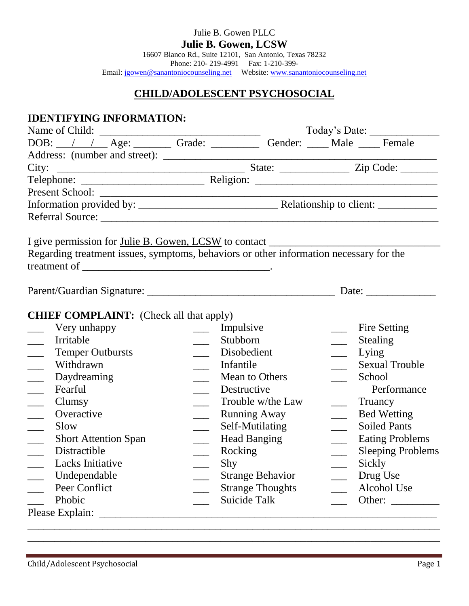| Julie B. Gowen PLLC                                                          |
|------------------------------------------------------------------------------|
| <b>Julie B. Gowen, LCSW</b>                                                  |
| 16607 Blanco Rd., Suite 12101, San Antonio, Texas 78232                      |
| Phone: 210-219-4991 Fax: 1-210-399-                                          |
| Email: jgowen@sanantoniocounseling.net Website: www.sanantoniocounseling.net |

# **CHILD/ADOLESCENT PSYCHOSOCIAL**

| <b>IDENTIFYING INFORMATION:</b>                                                                                                                                                                                                                                                                                                                                                                                                                                           |                |                         |                             |                          |
|---------------------------------------------------------------------------------------------------------------------------------------------------------------------------------------------------------------------------------------------------------------------------------------------------------------------------------------------------------------------------------------------------------------------------------------------------------------------------|----------------|-------------------------|-----------------------------|--------------------------|
| Name of Child:<br>$\frac{1}{\sqrt{2\pi}\left(\frac{1}{\sqrt{2\pi}\left(\frac{1}{\sqrt{2\pi}\left(\frac{1}{\sqrt{2\pi}\left(\frac{1}{\sqrt{2\pi}\left(\frac{1}{\sqrt{2\pi}\left(\frac{1}{\sqrt{2\pi}\left(\frac{1}{\sqrt{2\pi}\left(\frac{1}{\sqrt{2\pi}\left(\frac{1}{\sqrt{2\pi}\left(\frac{1}{\sqrt{2\pi}\left(\frac{1}{\sqrt{2\pi}\left(\frac{1}{\sqrt{2\pi}\left(\frac{1}{\sqrt{2\pi}\left(\frac{1}{\sqrt{2\pi}\left(\frac{1}{\sqrt{2\pi}\left(\frac{1}{\sqrt{2\pi}\$ |                |                         |                             | Today's Date:            |
| DOB: / / Age: Grade: Grade: Gender: Male Female                                                                                                                                                                                                                                                                                                                                                                                                                           |                |                         |                             |                          |
|                                                                                                                                                                                                                                                                                                                                                                                                                                                                           |                |                         |                             |                          |
|                                                                                                                                                                                                                                                                                                                                                                                                                                                                           |                |                         |                             |                          |
|                                                                                                                                                                                                                                                                                                                                                                                                                                                                           |                |                         |                             |                          |
|                                                                                                                                                                                                                                                                                                                                                                                                                                                                           |                |                         |                             |                          |
|                                                                                                                                                                                                                                                                                                                                                                                                                                                                           |                |                         |                             |                          |
|                                                                                                                                                                                                                                                                                                                                                                                                                                                                           |                |                         |                             |                          |
| Regarding treatment issues, symptoms, behaviors or other information necessary for the                                                                                                                                                                                                                                                                                                                                                                                    |                |                         |                             |                          |
|                                                                                                                                                                                                                                                                                                                                                                                                                                                                           |                |                         |                             |                          |
| <b>CHIEF COMPLAINT:</b> (Check all that apply)                                                                                                                                                                                                                                                                                                                                                                                                                            |                |                         |                             |                          |
| Very unhappy                                                                                                                                                                                                                                                                                                                                                                                                                                                              | $\mathbb{R}^2$ | Impulsive               |                             | Fire Setting             |
| Irritable                                                                                                                                                                                                                                                                                                                                                                                                                                                                 | $\frac{1}{2}$  | Stubborn                | $\mathcal{L}_{\mathcal{L}}$ | Stealing                 |
| <b>Temper Outbursts</b>                                                                                                                                                                                                                                                                                                                                                                                                                                                   |                | Disobedient             | $\frac{1}{1}$               | Lying                    |
| Withdrawn                                                                                                                                                                                                                                                                                                                                                                                                                                                                 |                | Infantile               | $\sim$                      | <b>Sexual Trouble</b>    |
| Daydreaming                                                                                                                                                                                                                                                                                                                                                                                                                                                               |                | Mean to Others          | $\mathcal{L}^{\text{max}}$  | School                   |
| Fearful                                                                                                                                                                                                                                                                                                                                                                                                                                                                   |                | Destructive             |                             | Performance              |
| Clumsy                                                                                                                                                                                                                                                                                                                                                                                                                                                                    |                | Trouble w/the Law       |                             | Truancy                  |
| Overactive                                                                                                                                                                                                                                                                                                                                                                                                                                                                | $\frac{1}{2}$  | <b>Running Away</b>     | $\overline{a}$              | <b>Bed Wetting</b>       |
| Slow                                                                                                                                                                                                                                                                                                                                                                                                                                                                      |                | Self-Mutilating         | $\overline{\phantom{a}}$    | <b>Soiled Pants</b>      |
| <b>Short Attention Span</b>                                                                                                                                                                                                                                                                                                                                                                                                                                               |                | <b>Head Banging</b>     | $\mathcal{L}^{\text{max}}$  | <b>Eating Problems</b>   |
| Distractible                                                                                                                                                                                                                                                                                                                                                                                                                                                              |                | Rocking                 | $\overline{\phantom{a}}$    | <b>Sleeping Problems</b> |
| Lacks Initiative                                                                                                                                                                                                                                                                                                                                                                                                                                                          |                | Shy                     |                             | Sickly                   |
| Undependable                                                                                                                                                                                                                                                                                                                                                                                                                                                              |                | <b>Strange Behavior</b> |                             | Drug Use                 |
| Peer Conflict                                                                                                                                                                                                                                                                                                                                                                                                                                                             |                | <b>Strange Thoughts</b> |                             | Alcohol Use              |
| Phobic                                                                                                                                                                                                                                                                                                                                                                                                                                                                    |                | Suicide Talk            |                             | Other:                   |
| Please Explain:                                                                                                                                                                                                                                                                                                                                                                                                                                                           |                |                         |                             |                          |

\_\_\_\_\_\_\_\_\_\_\_\_\_\_\_\_\_\_\_\_\_\_\_\_\_\_\_\_\_\_\_\_\_\_\_\_\_\_\_\_\_\_\_\_\_\_\_\_\_\_\_\_\_\_\_\_\_\_\_\_\_\_\_\_\_\_\_\_\_\_\_\_\_\_\_\_\_ \_\_\_\_\_\_\_\_\_\_\_\_\_\_\_\_\_\_\_\_\_\_\_\_\_\_\_\_\_\_\_\_\_\_\_\_\_\_\_\_\_\_\_\_\_\_\_\_\_\_\_\_\_\_\_\_\_\_\_\_\_\_\_\_\_\_\_\_\_\_\_\_\_\_\_\_\_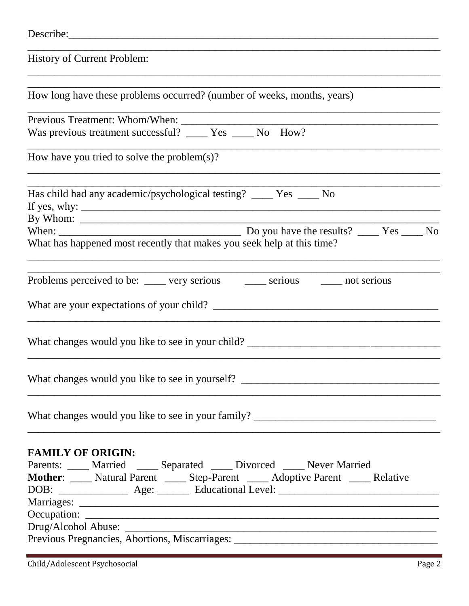| Describe:                                                                                                                                                                            |
|--------------------------------------------------------------------------------------------------------------------------------------------------------------------------------------|
| <b>History of Current Problem:</b>                                                                                                                                                   |
| How long have these problems occurred? (number of weeks, months, years)                                                                                                              |
| Previous Treatment: Whom/When: Was previous treatment successful? ______ Yes _____ No How?                                                                                           |
|                                                                                                                                                                                      |
| How have you tried to solve the problem $(s)$ ?                                                                                                                                      |
| Has child had any academic/psychological testing? _____ Yes _____ No                                                                                                                 |
|                                                                                                                                                                                      |
| What has happened most recently that makes you seek help at this time?                                                                                                               |
| Problems perceived to be: _____ very serious _____ serious _____ not serious                                                                                                         |
|                                                                                                                                                                                      |
| What changes would you like to see in your child? _______________________________                                                                                                    |
|                                                                                                                                                                                      |
| What changes would you like to see in your family? ______________________________                                                                                                    |
| <b>FAMILY OF ORIGIN:</b><br>Parents: ____ Married ____ Separated ____ Divorced ____ Never Married<br>Mother: ____ Natural Parent ____ Step-Parent ____ Adoptive Parent ____ Relative |
| Previous Pregnancies, Abortions, Miscarriages: __________________________________                                                                                                    |
|                                                                                                                                                                                      |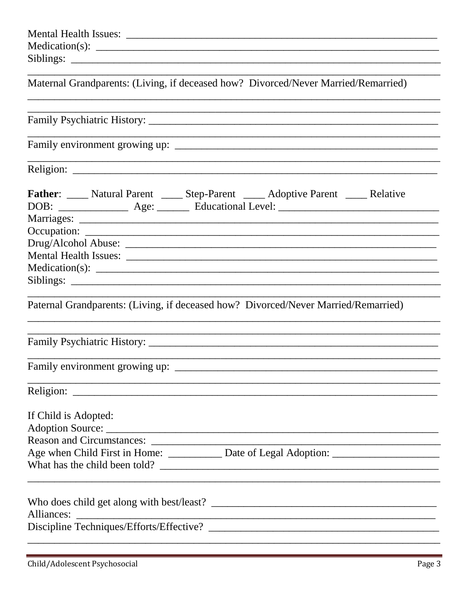| Maternal Grandparents: (Living, if deceased how? Divorced/Never Married/Remarried)                                                                                                                                                                                   |
|----------------------------------------------------------------------------------------------------------------------------------------------------------------------------------------------------------------------------------------------------------------------|
|                                                                                                                                                                                                                                                                      |
|                                                                                                                                                                                                                                                                      |
|                                                                                                                                                                                                                                                                      |
| <b>Father:</b> _____ Natural Parent _____ Step-Parent _____ Adoptive Parent _____ Relative<br>Paternal Grandparents: (Living, if deceased how? Divorced/Never Married/Remarried)<br>,我们也不能在这里,我们也不能在这里的时候,我们也不能会不能会不能会不能会不能会不能会不能会。""我们的人们,我们也不能会不能会不能会不能会不能会不能会不能会不 |
|                                                                                                                                                                                                                                                                      |
| If Child is Adopted:                                                                                                                                                                                                                                                 |
|                                                                                                                                                                                                                                                                      |
| Alliances:                                                                                                                                                                                                                                                           |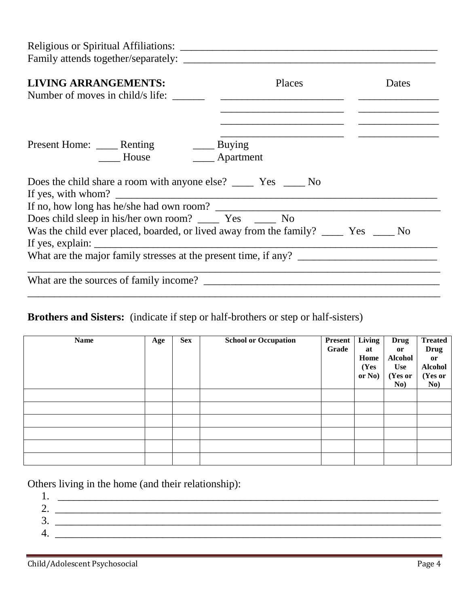| Religious or Spiritual Affiliations:                                                     |        |       |
|------------------------------------------------------------------------------------------|--------|-------|
| <b>LIVING ARRANGEMENTS:</b><br>Number of moves in child/s life:                          | Places | Dates |
| Present Home: ______ Renting ________ Buying<br>House <b>Manufacturer</b> Apartment      |        |       |
| If yes, with whom? $\qquad \qquad$                                                       |        |       |
|                                                                                          |        |       |
|                                                                                          |        |       |
| Was the child ever placed, boarded, or lived away from the family? _______ Yes ______ No |        |       |
| What are the major family stresses at the present time, if any?                          |        |       |
|                                                                                          |        |       |

# **Brothers and Sisters:** (indicate if step or half-brothers or step or half-sisters)

| <b>Name</b> | Age | <b>Sex</b> | <b>School or Occupation</b> | Present  <br>Grade | Living<br>at<br>Home<br>(Yes<br>or No) | <b>Drug</b><br><b>or</b><br><b>Alcohol</b><br><b>Use</b><br>(Yes or<br>No) | <b>Treated</b><br><b>Drug</b><br>or<br><b>Alcohol</b><br>(Yes or<br>No) |
|-------------|-----|------------|-----------------------------|--------------------|----------------------------------------|----------------------------------------------------------------------------|-------------------------------------------------------------------------|
|             |     |            |                             |                    |                                        |                                                                            |                                                                         |
|             |     |            |                             |                    |                                        |                                                                            |                                                                         |
|             |     |            |                             |                    |                                        |                                                                            |                                                                         |
|             |     |            |                             |                    |                                        |                                                                            |                                                                         |
|             |     |            |                             |                    |                                        |                                                                            |                                                                         |
|             |     |            |                             |                    |                                        |                                                                            |                                                                         |

Others living in the home (and their relationship):

| .,      |  |
|---------|--|
| ∼<br>∠. |  |
| ⌒<br>၁. |  |
| .       |  |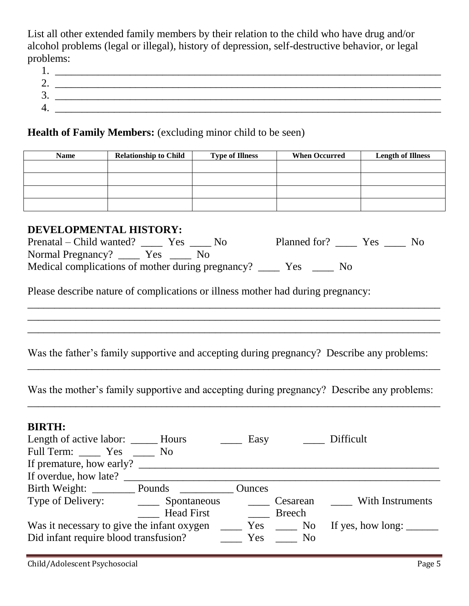List all other extended family members by their relation to the child who have drug and/or alcohol problems (legal or illegal), history of depression, self-destructive behavior, or legal problems:

| π.      |  |
|---------|--|
| ∠.      |  |
| ◠<br>J. |  |
|         |  |
| . .     |  |

### Health of Family Members: (excluding minor child to be seen)

| <b>Name</b> | <b>Relationship to Child</b> | <b>Type of Illness</b> | <b>When Occurred</b> | <b>Length of Illness</b> |
|-------------|------------------------------|------------------------|----------------------|--------------------------|
|             |                              |                        |                      |                          |
|             |                              |                        |                      |                          |
|             |                              |                        |                      |                          |
|             |                              |                        |                      |                          |

## **DEVELOPMENTAL HISTORY:**

| Prenatal – Child wanted? Yes                                   |  | Planned for? Nes |  |  | N <sub>0</sub> |
|----------------------------------------------------------------|--|------------------|--|--|----------------|
| Normal Pregnancy? _______ Yes ______ No                        |  |                  |  |  |                |
| Medical complications of mother during pregnancy? ________ Yes |  |                  |  |  |                |

Please describe nature of complications or illness mother had during pregnancy:

Was the father's family supportive and accepting during pregnancy? Describe any problems:

\_\_\_\_\_\_\_\_\_\_\_\_\_\_\_\_\_\_\_\_\_\_\_\_\_\_\_\_\_\_\_\_\_\_\_\_\_\_\_\_\_\_\_\_\_\_\_\_\_\_\_\_\_\_\_\_\_\_\_\_\_\_\_\_\_\_\_\_\_\_\_\_\_\_\_\_\_

\_\_\_\_\_\_\_\_\_\_\_\_\_\_\_\_\_\_\_\_\_\_\_\_\_\_\_\_\_\_\_\_\_\_\_\_\_\_\_\_\_\_\_\_\_\_\_\_\_\_\_\_\_\_\_\_\_\_\_\_\_\_\_\_\_\_\_\_\_\_\_\_\_\_\_\_\_ \_\_\_\_\_\_\_\_\_\_\_\_\_\_\_\_\_\_\_\_\_\_\_\_\_\_\_\_\_\_\_\_\_\_\_\_\_\_\_\_\_\_\_\_\_\_\_\_\_\_\_\_\_\_\_\_\_\_\_\_\_\_\_\_\_\_\_\_\_\_\_\_\_\_\_\_\_ \_\_\_\_\_\_\_\_\_\_\_\_\_\_\_\_\_\_\_\_\_\_\_\_\_\_\_\_\_\_\_\_\_\_\_\_\_\_\_\_\_\_\_\_\_\_\_\_\_\_\_\_\_\_\_\_\_\_\_\_\_\_\_\_\_\_\_\_\_\_\_\_\_\_\_\_\_

Was the mother's family supportive and accepting during pregnancy? Describe any problems: \_\_\_\_\_\_\_\_\_\_\_\_\_\_\_\_\_\_\_\_\_\_\_\_\_\_\_\_\_\_\_\_\_\_\_\_\_\_\_\_\_\_\_\_\_\_\_\_\_\_\_\_\_\_\_\_\_\_\_\_\_\_\_\_\_\_\_\_\_\_\_\_\_\_\_\_\_

## **BIRTH:**

|                                            |                   | Easy          |               | Difficult                |
|--------------------------------------------|-------------------|---------------|---------------|--------------------------|
| Full Term: Yes No                          |                   |               |               |                          |
| If premature, how early?                   |                   |               |               |                          |
| If overdue, how late?                      |                   |               |               |                          |
| Birth Weight: Pounds                       |                   | <b>Ounces</b> |               |                          |
|                                            |                   |               | Cesarean      | With Instruments         |
|                                            | <b>Head First</b> |               | <b>Breech</b> |                          |
| Was it necessary to give the infant oxygen |                   |               | Yes No        | If yes, how long: $\_\_$ |
| Did infant require blood transfusion?      |                   | Yes           | $\sim$ No     |                          |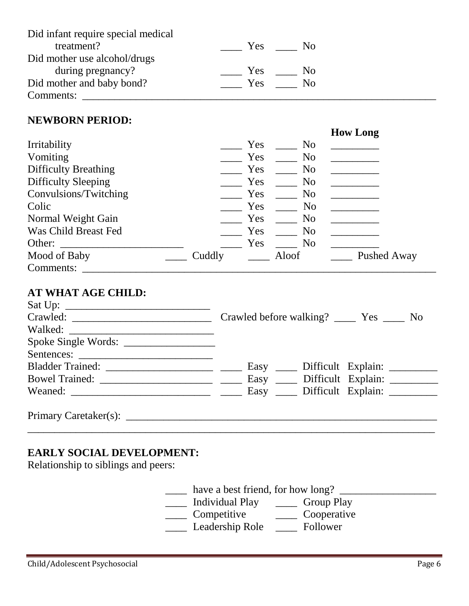| Did infant require special medical |                        |  |
|------------------------------------|------------------------|--|
| treatment?                         | Yes.<br>- No           |  |
| Did mother use alcohol/drugs       |                        |  |
| during pregnancy?                  | Yes.<br>N <sub>0</sub> |  |
| Did mother and baby bond?          | Yes<br>N <sub>0</sub>  |  |
| Comments:                          |                        |  |

#### **NEWBORN PERIOD:**

|                             |        |     |                | <b>How Long</b> |
|-----------------------------|--------|-----|----------------|-----------------|
| Irritability                |        | Yes | N <sub>0</sub> |                 |
| Vomiting                    |        | Yes | N <sub>o</sub> |                 |
| <b>Difficulty Breathing</b> |        | Yes | N <sub>o</sub> |                 |
| Difficulty Sleeping         |        | Yes | N <sub>0</sub> |                 |
| Convulsions/Twitching       |        | Yes | N <sub>0</sub> |                 |
| Colic                       |        | Yes | N <sub>o</sub> |                 |
| Normal Weight Gain          |        | Yes | N <sub>0</sub> |                 |
| Was Child Breast Fed        |        | Yes | N <sub>o</sub> |                 |
| Other:                      |        | Yes | N <sub>o</sub> |                 |
| Mood of Baby                | Cuddly |     | Aloof          | Pushed Away     |
| Comments:                   |        |     |                |                 |

## **AT WHAT AGE CHILD:**

|                                                                                                                                                                                                                                | Crawled before walking? Nes<br>N <sub>0</sub> |
|--------------------------------------------------------------------------------------------------------------------------------------------------------------------------------------------------------------------------------|-----------------------------------------------|
| Walked: New York and the Communication of the Communication of the Communication of the Communication of the Communication of the Communication of the Communication of the Communication of the Communication of the Communic |                                               |
| Spoke Single Words:                                                                                                                                                                                                            |                                               |
|                                                                                                                                                                                                                                |                                               |
|                                                                                                                                                                                                                                | Easy _____ Difficult Explain:                 |
|                                                                                                                                                                                                                                |                                               |
|                                                                                                                                                                                                                                |                                               |
|                                                                                                                                                                                                                                |                                               |
| Primary Caretaker(s): $\_\_$                                                                                                                                                                                                   |                                               |

\_\_\_\_\_\_\_\_\_\_\_\_\_\_\_\_\_\_\_\_\_\_\_\_\_\_\_\_\_\_\_\_\_\_\_\_\_\_\_\_\_\_\_\_\_\_\_\_\_\_\_\_\_\_\_\_\_\_\_\_\_\_\_\_\_\_\_\_\_\_\_\_\_\_\_\_

## **EARLY SOCIAL DEVELOPMENT:**

Relationship to siblings and peers:

\_\_\_\_ have a best friend, for how long? \_\_\_\_\_\_\_\_\_\_\_\_\_\_\_\_\_\_ \_\_\_\_\_ Individual Play \_\_\_\_\_\_ Group Play<br>Competitive \_\_\_\_\_\_ Cooperative  $\frac{1}{\sqrt{2\pi}}$  Competitive Leadership Role <u>I</u> Follower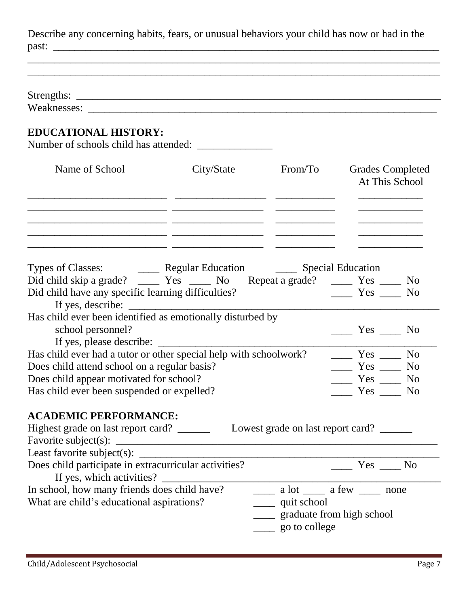Describe any concerning habits, fears, or unusual behaviors your child has now or had in the past: \_\_\_\_\_\_\_\_\_\_\_\_\_\_\_\_\_\_\_\_\_\_\_\_\_\_\_\_\_\_\_\_\_\_\_\_\_\_\_\_\_\_\_\_\_\_\_\_\_\_\_\_\_\_\_\_\_\_\_\_\_\_\_\_\_\_\_\_\_\_\_\_

\_\_\_\_\_\_\_\_\_\_\_\_\_\_\_\_\_\_\_\_\_\_\_\_\_\_\_\_\_\_\_\_\_\_\_\_\_\_\_\_\_\_\_\_\_\_\_\_\_\_\_\_\_\_\_\_\_\_\_\_\_\_\_\_\_\_\_\_\_\_\_\_\_\_\_\_\_

 $\frac{1}{2}$  ,  $\frac{1}{2}$  ,  $\frac{1}{2}$  ,  $\frac{1}{2}$  ,  $\frac{1}{2}$  ,  $\frac{1}{2}$  ,  $\frac{1}{2}$  ,  $\frac{1}{2}$  ,  $\frac{1}{2}$  ,  $\frac{1}{2}$  ,  $\frac{1}{2}$  ,  $\frac{1}{2}$  ,  $\frac{1}{2}$  ,  $\frac{1}{2}$  ,  $\frac{1}{2}$  ,  $\frac{1}{2}$  ,  $\frac{1}{2}$  ,  $\frac{1}{2}$  ,  $\frac{1$ 

\_\_\_\_\_\_\_\_\_\_\_\_\_\_\_\_\_\_\_\_\_\_\_\_\_\_\_\_\_\_\_\_\_\_\_\_\_\_\_\_\_\_\_\_\_\_\_\_\_\_\_\_\_\_\_\_\_\_\_\_\_\_\_\_\_\_\_\_\_\_\_\_\_\_\_\_\_

| Strengths: |
|------------|
|------------|

Weaknesses:

## **EDUCATIONAL HISTORY:**

Number of schools child has attended: \_\_\_\_\_\_\_\_\_\_\_\_\_\_

| Name of School | City/State | From/To | <b>Grades Completed</b><br>At This School |
|----------------|------------|---------|-------------------------------------------|
|                |            |         |                                           |
|                |            |         |                                           |
|                |            |         |                                           |

|                                                                   |  |     |                     | N <sub>0</sub> |
|-------------------------------------------------------------------|--|-----|---------------------|----------------|
| Did child have any specific learning difficulties?                |  | Yes |                     | N <sub>o</sub> |
| If yes, describe: $\_\_$                                          |  |     |                     |                |
| Has child ever been identified as emotionally disturbed by        |  |     |                     |                |
| school personnel?                                                 |  |     | Yes                 | N <sub>0</sub> |
| If yes, please describe:                                          |  |     |                     |                |
| Has child ever had a tutor or other special help with schoolwork? |  |     | <b>Solution</b> Yes | N <sub>0</sub> |
| Does child attend school on a regular basis?                      |  |     | $Yes$ $\qquad$      | <b>No</b>      |
| Does child appear motivated for school?                           |  |     | $Yes$ $\qquad$      | N <sub>0</sub> |
| Has child ever been suspended or expelled?                        |  |     | Yes                 | N <sub>0</sub> |

## **ACADEMIC PERFORMANCE:**

| Highest grade on last report card?                    | Lowest grade on last report card?                                                                                   |
|-------------------------------------------------------|---------------------------------------------------------------------------------------------------------------------|
| Favorite subject(s): $\_\_$                           |                                                                                                                     |
| Least favorite subject(s): $\_\_$                     |                                                                                                                     |
| Does child participate in extracurricular activities? | Yes No                                                                                                              |
| If yes, which activities?                             |                                                                                                                     |
| In school, how many friends does child have?          | $\frac{1}{\sqrt{1-\frac{1}{2}}}$ a lot $\frac{1}{\sqrt{1-\frac{1}{2}}}$ a few $\frac{1}{\sqrt{1-\frac{1}{2}}}$ none |
| What are child's educational aspirations?             | ______ quit school                                                                                                  |
|                                                       | graduate from high school                                                                                           |
|                                                       | _____ go to college                                                                                                 |